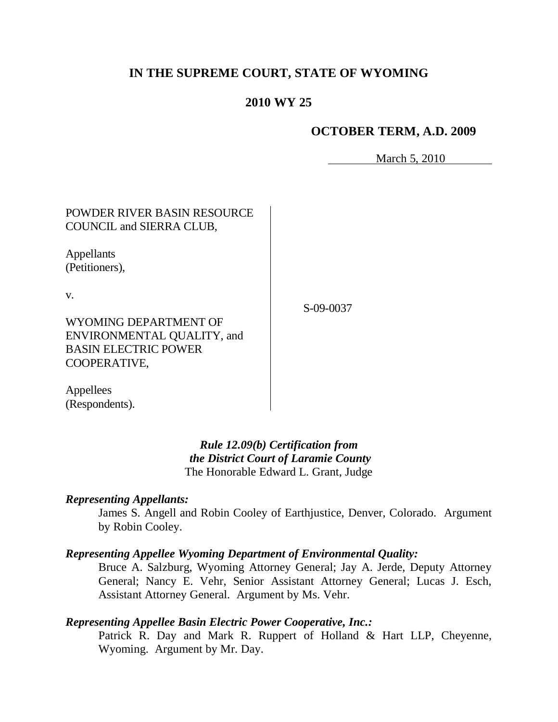# **IN THE SUPREME COURT, STATE OF WYOMING**

# **2010 WY 25**

# **OCTOBER TERM, A.D. 2009**

March 5, 2010

POWDER RIVER BASIN RESOURCE COUNCIL and SIERRA CLUB,

Appellants (Petitioners),

v.

S-09-0037

WYOMING DEPARTMENT OF ENVIRONMENTAL QUALITY, and BASIN ELECTRIC POWER COOPERATIVE,

Appellees (Respondents).

> *Rule 12.09(b) Certification from the District Court of Laramie County* The Honorable Edward L. Grant, Judge

#### *Representing Appellants:*

James S. Angell and Robin Cooley of Earthjustice, Denver, Colorado. Argument by Robin Cooley.

#### *Representing Appellee Wyoming Department of Environmental Quality:*

Bruce A. Salzburg, Wyoming Attorney General; Jay A. Jerde, Deputy Attorney General; Nancy E. Vehr, Senior Assistant Attorney General; Lucas J. Esch, Assistant Attorney General. Argument by Ms. Vehr.

## *Representing Appellee Basin Electric Power Cooperative, Inc.:*

Patrick R. Day and Mark R. Ruppert of Holland & Hart LLP, Cheyenne, Wyoming. Argument by Mr. Day.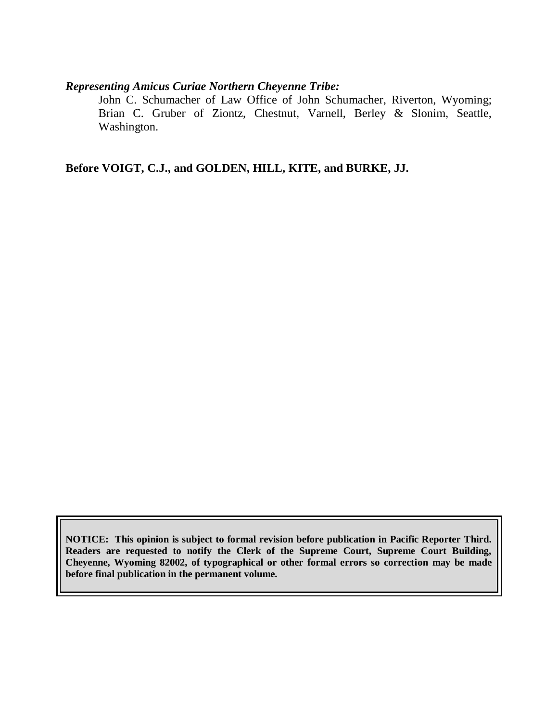# *Representing Amicus Curiae Northern Cheyenne Tribe:*

John C. Schumacher of Law Office of John Schumacher, Riverton, Wyoming; Brian C. Gruber of Ziontz, Chestnut, Varnell, Berley & Slonim, Seattle, Washington.

**Before VOIGT, C.J., and GOLDEN, HILL, KITE, and BURKE, JJ.**

**NOTICE: This opinion is subject to formal revision before publication in Pacific Reporter Third. Readers are requested to notify the Clerk of the Supreme Court, Supreme Court Building, Cheyenne, Wyoming 82002, of typographical or other formal errors so correction may be made before final publication in the permanent volume.**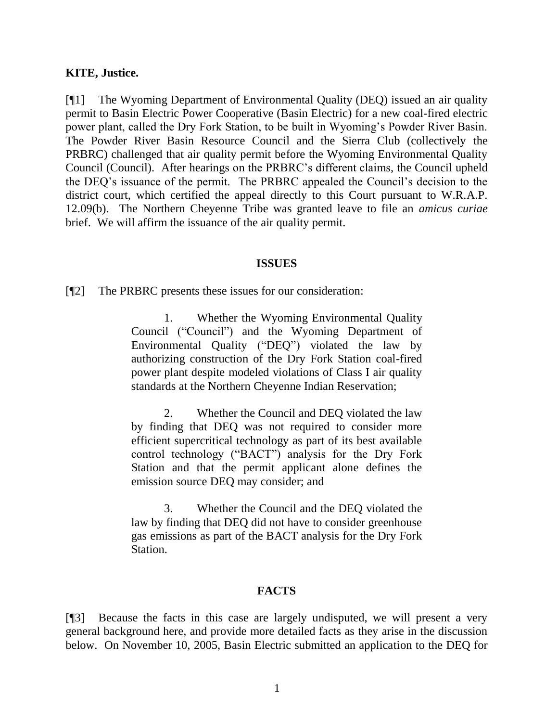#### **KITE, Justice.**

[¶1] The Wyoming Department of Environmental Quality (DEQ) issued an air quality permit to Basin Electric Power Cooperative (Basin Electric) for a new coal-fired electric power plant, called the Dry Fork Station, to be built in Wyoming"s Powder River Basin. The Powder River Basin Resource Council and the Sierra Club (collectively the PRBRC) challenged that air quality permit before the Wyoming Environmental Quality Council (Council). After hearings on the PRBRC"s different claims, the Council upheld the DEQ"s issuance of the permit. The PRBRC appealed the Council"s decision to the district court, which certified the appeal directly to this Court pursuant to W.R.A.P. 12.09(b). The Northern Cheyenne Tribe was granted leave to file an *amicus curiae*  brief. We will affirm the issuance of the air quality permit.

#### **ISSUES**

[¶2] The PRBRC presents these issues for our consideration:

1. Whether the Wyoming Environmental Quality Council ("Council") and the Wyoming Department of Environmental Quality ("DEQ") violated the law by authorizing construction of the Dry Fork Station coal-fired power plant despite modeled violations of Class I air quality standards at the Northern Cheyenne Indian Reservation;

2. Whether the Council and DEQ violated the law by finding that DEQ was not required to consider more efficient supercritical technology as part of its best available control technology ("BACT") analysis for the Dry Fork Station and that the permit applicant alone defines the emission source DEQ may consider; and

3. Whether the Council and the DEQ violated the law by finding that DEQ did not have to consider greenhouse gas emissions as part of the BACT analysis for the Dry Fork Station.

#### **FACTS**

[¶3] Because the facts in this case are largely undisputed, we will present a very general background here, and provide more detailed facts as they arise in the discussion below. On November 10, 2005, Basin Electric submitted an application to the DEQ for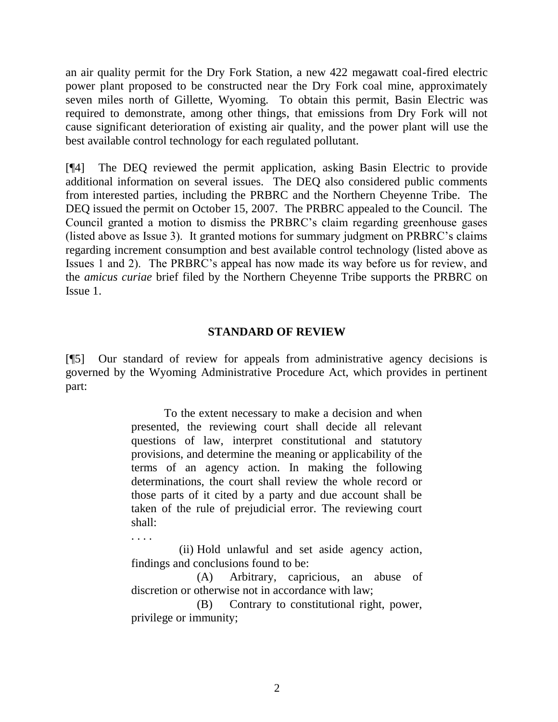an air quality permit for the Dry Fork Station, a new 422 megawatt coal-fired electric power plant proposed to be constructed near the Dry Fork coal mine, approximately seven miles north of Gillette, Wyoming. To obtain this permit, Basin Electric was required to demonstrate, among other things, that emissions from Dry Fork will not cause significant deterioration of existing air quality, and the power plant will use the best available control technology for each regulated pollutant.

[¶4] The DEQ reviewed the permit application, asking Basin Electric to provide additional information on several issues. The DEQ also considered public comments from interested parties, including the PRBRC and the Northern Cheyenne Tribe. The DEQ issued the permit on October 15, 2007. The PRBRC appealed to the Council. The Council granted a motion to dismiss the PRBRC"s claim regarding greenhouse gases (listed above as Issue 3). It granted motions for summary judgment on PRBRC"s claims regarding increment consumption and best available control technology (listed above as Issues 1 and 2). The PRBRC"s appeal has now made its way before us for review, and the *amicus curiae* brief filed by the Northern Cheyenne Tribe supports the PRBRC on Issue 1.

### **STANDARD OF REVIEW**

[¶5] Our standard of review for appeals from administrative agency decisions is governed by the Wyoming Administrative Procedure Act, which provides in pertinent part:

> To the extent necessary to make a decision and when presented, the reviewing court shall decide all relevant questions of law, interpret constitutional and statutory provisions, and determine the meaning or applicability of the terms of an agency action. In making the following determinations, the court shall review the whole record or those parts of it cited by a party and due account shall be taken of the rule of prejudicial error. The reviewing court shall:

> (ii) Hold unlawful and set aside agency action, findings and conclusions found to be:

. . . .

(A) Arbitrary, capricious, an abuse of discretion or otherwise not in accordance with law;

(B) Contrary to constitutional right, power, privilege or immunity;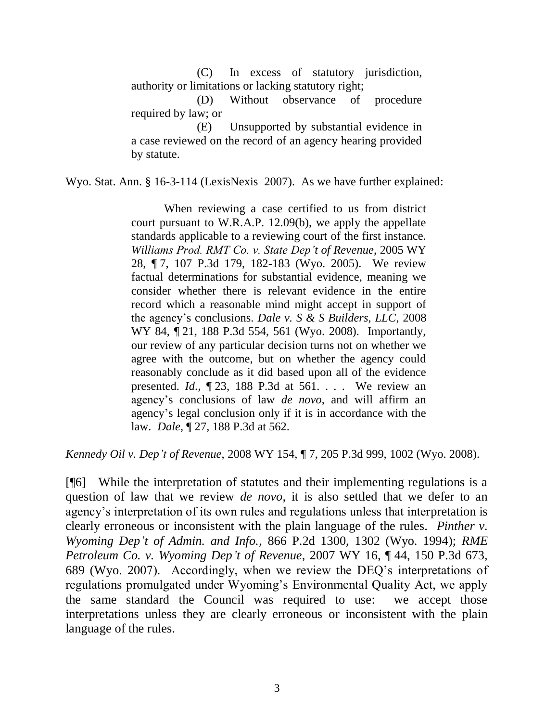(C) In excess of statutory jurisdiction, authority or limitations or lacking statutory right;

(D) Without observance of procedure required by law; or

(E) Unsupported by substantial evidence in a case reviewed on the record of an agency hearing provided by statute.

Wyo. Stat. Ann. § 16-3-114 (LexisNexis 2007). As we have further explained:

When reviewing a case certified to us from district court pursuant to W.R.A.P. 12.09(b), we apply the appellate standards applicable to a reviewing court of the first instance. *Williams Prod. RMT Co. v. State Dep't of Revenue*, 2005 WY 28, ¶ 7, 107 P.3d 179, 182-183 (Wyo. 2005). We review factual determinations for substantial evidence, meaning we consider whether there is relevant evidence in the entire record which a reasonable mind might accept in support of the agency"s conclusions. *Dale v. S & S Builders, LLC*, 2008 WY 84, ¶ 21, 188 P.3d 554, 561 (Wyo. 2008). Importantly, our review of any particular decision turns not on whether we agree with the outcome, but on whether the agency could reasonably conclude as it did based upon all of the evidence presented. *Id*., ¶ 23, 188 P.3d at 561. . . . We review an agency"s conclusions of law *de novo*, and will affirm an agency"s legal conclusion only if it is in accordance with the law. *Dale*, ¶ 27, 188 P.3d at 562.

*Kennedy Oil v. Dep't of Revenue*, 2008 WY 154, ¶ 7, 205 P.3d 999, 1002 (Wyo. 2008).

[¶6] While the interpretation of statutes and their implementing regulations is a question of law that we review *de novo*, it is also settled that we defer to an agency"s interpretation of its own rules and regulations unless that interpretation is clearly erroneous or inconsistent with the plain language of the rules. *Pinther v. Wyoming Dep't of Admin. and Info.*, 866 P.2d 1300, 1302 (Wyo. 1994); *RME Petroleum Co. v. Wyoming Dep't of Revenue*, 2007 WY 16, ¶ 44, 150 P.3d 673, 689 (Wyo. 2007). Accordingly, when we review the DEQ"s interpretations of regulations promulgated under Wyoming"s Environmental Quality Act, we apply the same standard the Council was required to use: we accept those interpretations unless they are clearly erroneous or inconsistent with the plain language of the rules.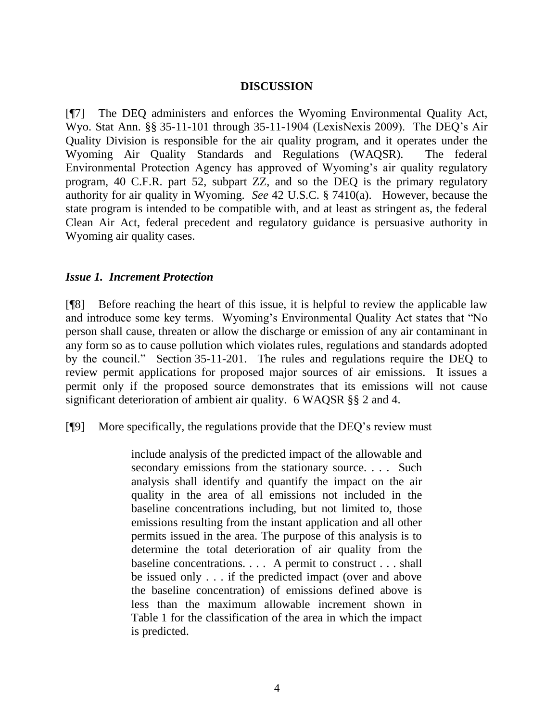### **DISCUSSION**

[¶7] The DEQ administers and enforces the Wyoming Environmental Quality Act, Wyo. Stat Ann. §§ 35-11-101 through 35-11-1904 (LexisNexis 2009). The DEQ"s Air Quality Division is responsible for the air quality program, and it operates under the Wyoming Air Quality Standards and Regulations (WAQSR). The federal Environmental Protection Agency has approved of Wyoming's air quality regulatory program, 40 C.F.R. part 52, subpart ZZ, and so the DEQ is the primary regulatory authority for air quality in Wyoming. *See* 42 U.S.C. § 7410(a). However, because the state program is intended to be compatible with, and at least as stringent as, the federal Clean Air Act, federal precedent and regulatory guidance is persuasive authority in Wyoming air quality cases.

### *Issue 1. Increment Protection*

[¶8] Before reaching the heart of this issue, it is helpful to review the applicable law and introduce some key terms. Wyoming's Environmental Quality Act states that "No person shall cause, threaten or allow the discharge or emission of any air contaminant in any form so as to cause pollution which violates rules, regulations and standards adopted by the council." Section 35-11-201. The rules and regulations require the DEQ to review permit applications for proposed major sources of air emissions. It issues a permit only if the proposed source demonstrates that its emissions will not cause significant deterioration of ambient air quality. 6 WAQSR §§ 2 and 4.

[¶9] More specifically, the regulations provide that the DEQ"s review must

include analysis of the predicted impact of the allowable and secondary emissions from the stationary source. . . . Such analysis shall identify and quantify the impact on the air quality in the area of all emissions not included in the baseline concentrations including, but not limited to, those emissions resulting from the instant application and all other permits issued in the area. The purpose of this analysis is to determine the total deterioration of air quality from the baseline concentrations. . . . A permit to construct . . . shall be issued only . . . if the predicted impact (over and above the baseline concentration) of emissions defined above is less than the maximum allowable increment shown in Table 1 for the classification of the area in which the impact is predicted.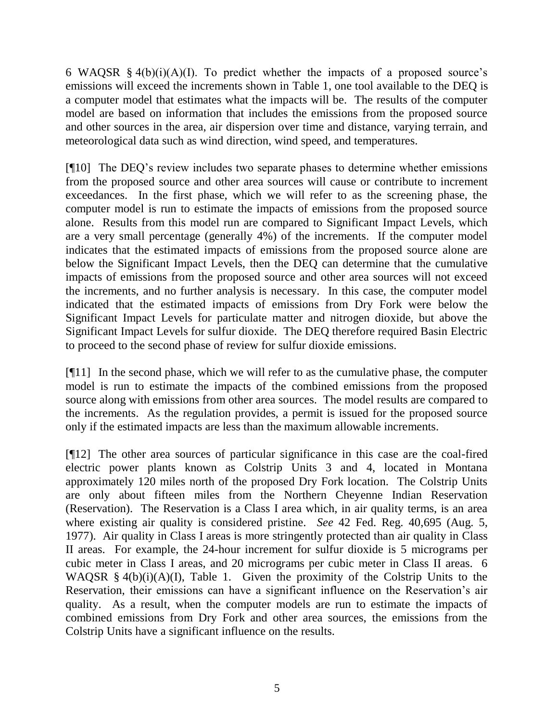6 WAQSR  $§$  4(b)(i)(A)(I). To predict whether the impacts of a proposed source's emissions will exceed the increments shown in Table 1, one tool available to the DEQ is a computer model that estimates what the impacts will be. The results of the computer model are based on information that includes the emissions from the proposed source and other sources in the area, air dispersion over time and distance, varying terrain, and meteorological data such as wind direction, wind speed, and temperatures.

[¶10] The DEQ"s review includes two separate phases to determine whether emissions from the proposed source and other area sources will cause or contribute to increment exceedances. In the first phase, which we will refer to as the screening phase, the computer model is run to estimate the impacts of emissions from the proposed source alone. Results from this model run are compared to Significant Impact Levels, which are a very small percentage (generally 4%) of the increments. If the computer model indicates that the estimated impacts of emissions from the proposed source alone are below the Significant Impact Levels, then the DEQ can determine that the cumulative impacts of emissions from the proposed source and other area sources will not exceed the increments, and no further analysis is necessary. In this case, the computer model indicated that the estimated impacts of emissions from Dry Fork were below the Significant Impact Levels for particulate matter and nitrogen dioxide, but above the Significant Impact Levels for sulfur dioxide. The DEQ therefore required Basin Electric to proceed to the second phase of review for sulfur dioxide emissions.

[¶11] In the second phase, which we will refer to as the cumulative phase, the computer model is run to estimate the impacts of the combined emissions from the proposed source along with emissions from other area sources. The model results are compared to the increments. As the regulation provides, a permit is issued for the proposed source only if the estimated impacts are less than the maximum allowable increments.

[¶12] The other area sources of particular significance in this case are the coal-fired electric power plants known as Colstrip Units 3 and 4, located in Montana approximately 120 miles north of the proposed Dry Fork location. The Colstrip Units are only about fifteen miles from the Northern Cheyenne Indian Reservation (Reservation). The Reservation is a Class I area which, in air quality terms, is an area where existing air quality is considered pristine. *See* 42 Fed. Reg. 40,695 (Aug. 5, 1977). Air quality in Class I areas is more stringently protected than air quality in Class II areas. For example, the 24-hour increment for sulfur dioxide is 5 micrograms per cubic meter in Class I areas, and 20 micrograms per cubic meter in Class II areas. 6 WAQSR  $§$  4(b)(i)(A)(I), Table 1. Given the proximity of the Colstrip Units to the Reservation, their emissions can have a significant influence on the Reservation"s air quality. As a result, when the computer models are run to estimate the impacts of combined emissions from Dry Fork and other area sources, the emissions from the Colstrip Units have a significant influence on the results.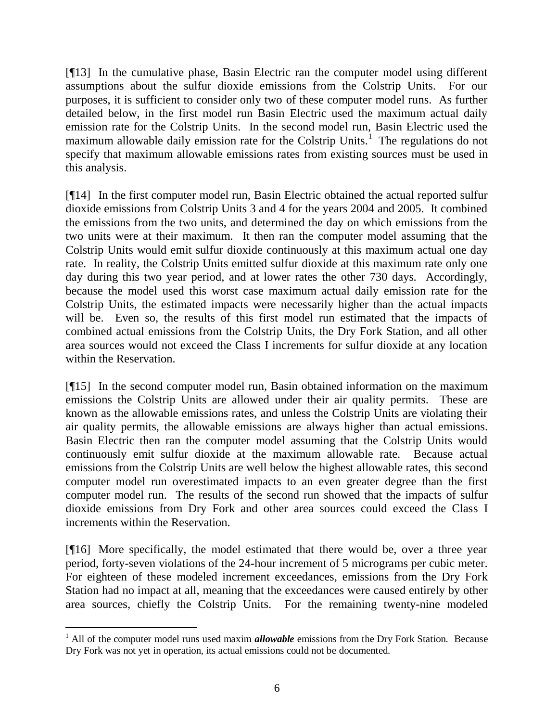[¶13] In the cumulative phase, Basin Electric ran the computer model using different assumptions about the sulfur dioxide emissions from the Colstrip Units. For our purposes, it is sufficient to consider only two of these computer model runs. As further detailed below, in the first model run Basin Electric used the maximum actual daily emission rate for the Colstrip Units. In the second model run, Basin Electric used the maximum allowable daily emission rate for the Colstrip Units.<sup>1</sup> The regulations do not specify that maximum allowable emissions rates from existing sources must be used in this analysis.

[¶14] In the first computer model run, Basin Electric obtained the actual reported sulfur dioxide emissions from Colstrip Units 3 and 4 for the years 2004 and 2005. It combined the emissions from the two units, and determined the day on which emissions from the two units were at their maximum. It then ran the computer model assuming that the Colstrip Units would emit sulfur dioxide continuously at this maximum actual one day rate. In reality, the Colstrip Units emitted sulfur dioxide at this maximum rate only one day during this two year period, and at lower rates the other 730 days. Accordingly, because the model used this worst case maximum actual daily emission rate for the Colstrip Units, the estimated impacts were necessarily higher than the actual impacts will be. Even so, the results of this first model run estimated that the impacts of combined actual emissions from the Colstrip Units, the Dry Fork Station, and all other area sources would not exceed the Class I increments for sulfur dioxide at any location within the Reservation.

[¶15] In the second computer model run, Basin obtained information on the maximum emissions the Colstrip Units are allowed under their air quality permits. These are known as the allowable emissions rates, and unless the Colstrip Units are violating their air quality permits, the allowable emissions are always higher than actual emissions. Basin Electric then ran the computer model assuming that the Colstrip Units would continuously emit sulfur dioxide at the maximum allowable rate. Because actual emissions from the Colstrip Units are well below the highest allowable rates, this second computer model run overestimated impacts to an even greater degree than the first computer model run. The results of the second run showed that the impacts of sulfur dioxide emissions from Dry Fork and other area sources could exceed the Class I increments within the Reservation.

[¶16] More specifically, the model estimated that there would be, over a three year period, forty-seven violations of the 24-hour increment of 5 micrograms per cubic meter. For eighteen of these modeled increment exceedances, emissions from the Dry Fork Station had no impact at all, meaning that the exceedances were caused entirely by other area sources, chiefly the Colstrip Units. For the remaining twenty-nine modeled

 $\overline{a}$ 

<sup>&</sup>lt;sup>1</sup> All of the computer model runs used maxim *allowable* emissions from the Dry Fork Station. Because Dry Fork was not yet in operation, its actual emissions could not be documented.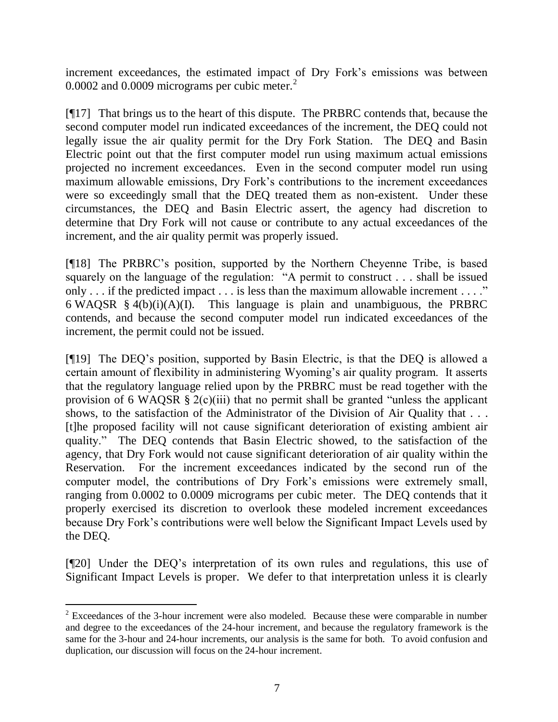increment exceedances, the estimated impact of Dry Fork"s emissions was between 0.0002 and 0.0009 micrograms per cubic meter.<sup>2</sup>

[¶17] That brings us to the heart of this dispute. The PRBRC contends that, because the second computer model run indicated exceedances of the increment, the DEQ could not legally issue the air quality permit for the Dry Fork Station. The DEQ and Basin Electric point out that the first computer model run using maximum actual emissions projected no increment exceedances. Even in the second computer model run using maximum allowable emissions, Dry Fork's contributions to the increment exceedances were so exceedingly small that the DEQ treated them as non-existent. Under these circumstances, the DEQ and Basin Electric assert, the agency had discretion to determine that Dry Fork will not cause or contribute to any actual exceedances of the increment, and the air quality permit was properly issued.

[¶18] The PRBRC"s position, supported by the Northern Cheyenne Tribe, is based squarely on the language of the regulation: "A permit to construct . . . shall be issued only . . . if the predicted impact . . . is less than the maximum allowable increment . . . ." 6 WAQSR § 4(b)(i)(A)(I). This language is plain and unambiguous, the PRBRC contends, and because the second computer model run indicated exceedances of the increment, the permit could not be issued.

[¶19] The DEQ"s position, supported by Basin Electric, is that the DEQ is allowed a certain amount of flexibility in administering Wyoming's air quality program. It asserts that the regulatory language relied upon by the PRBRC must be read together with the provision of 6 WAQSR  $\S$  2(c)(iii) that no permit shall be granted "unless the applicant shows, to the satisfaction of the Administrator of the Division of Air Quality that . . . [t]he proposed facility will not cause significant deterioration of existing ambient air quality." The DEQ contends that Basin Electric showed, to the satisfaction of the agency, that Dry Fork would not cause significant deterioration of air quality within the Reservation. For the increment exceedances indicated by the second run of the computer model, the contributions of Dry Fork"s emissions were extremely small, ranging from 0.0002 to 0.0009 micrograms per cubic meter. The DEQ contends that it properly exercised its discretion to overlook these modeled increment exceedances because Dry Fork"s contributions were well below the Significant Impact Levels used by the DEQ.

[¶20] Under the DEQ"s interpretation of its own rules and regulations, this use of Significant Impact Levels is proper. We defer to that interpretation unless it is clearly

 $\overline{a}$ 

 $2$  Exceedances of the 3-hour increment were also modeled. Because these were comparable in number and degree to the exceedances of the 24-hour increment, and because the regulatory framework is the same for the 3-hour and 24-hour increments, our analysis is the same for both. To avoid confusion and duplication, our discussion will focus on the 24-hour increment.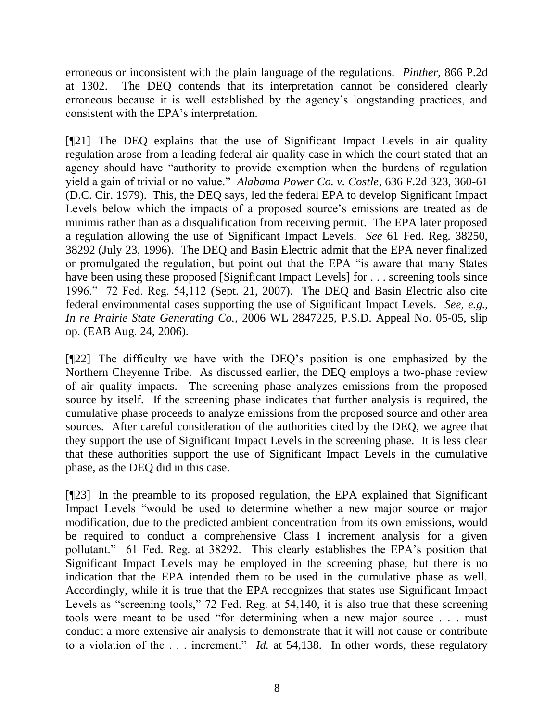erroneous or inconsistent with the plain language of the regulations. *Pinther*, 866 P.2d at 1302. The DEQ contends that its interpretation cannot be considered clearly erroneous because it is well established by the agency"s longstanding practices, and consistent with the EPA"s interpretation.

[¶21] The DEQ explains that the use of Significant Impact Levels in air quality regulation arose from a leading federal air quality case in which the court stated that an agency should have "authority to provide exemption when the burdens of regulation yield a gain of trivial or no value." *Alabama Power Co. v. Costle*, 636 F.2d 323, 360-61 (D.C. Cir. 1979). This, the DEQ says, led the federal EPA to develop Significant Impact Levels below which the impacts of a proposed source's emissions are treated as de minimis rather than as a disqualification from receiving permit. The EPA later proposed a regulation allowing the use of Significant Impact Levels. *See* 61 Fed. Reg. 38250, 38292 (July 23, 1996). The DEQ and Basin Electric admit that the EPA never finalized or promulgated the regulation, but point out that the EPA "is aware that many States have been using these proposed [Significant Impact Levels] for . . . screening tools since 1996." 72 Fed. Reg. 54,112 (Sept. 21, 2007). The DEQ and Basin Electric also cite federal environmental cases supporting the use of Significant Impact Levels. *See, e.g., In re Prairie State Generating Co.*, 2006 WL 2847225, P.S.D. Appeal No. 05-05, slip op. (EAB Aug. 24, 2006).

[¶22] The difficulty we have with the DEQ"s position is one emphasized by the Northern Cheyenne Tribe. As discussed earlier, the DEQ employs a two-phase review of air quality impacts. The screening phase analyzes emissions from the proposed source by itself. If the screening phase indicates that further analysis is required, the cumulative phase proceeds to analyze emissions from the proposed source and other area sources. After careful consideration of the authorities cited by the DEQ, we agree that they support the use of Significant Impact Levels in the screening phase. It is less clear that these authorities support the use of Significant Impact Levels in the cumulative phase, as the DEQ did in this case.

[¶23] In the preamble to its proposed regulation, the EPA explained that Significant Impact Levels "would be used to determine whether a new major source or major modification, due to the predicted ambient concentration from its own emissions, would be required to conduct a comprehensive Class I increment analysis for a given pollutant." 61 Fed. Reg. at 38292. This clearly establishes the EPA"s position that Significant Impact Levels may be employed in the screening phase, but there is no indication that the EPA intended them to be used in the cumulative phase as well. Accordingly, while it is true that the EPA recognizes that states use Significant Impact Levels as "screening tools," 72 Fed. Reg. at 54,140, it is also true that these screening tools were meant to be used "for determining when a new major source . . . must conduct a more extensive air analysis to demonstrate that it will not cause or contribute to a violation of the . . . increment." *Id.* at 54,138. In other words, these regulatory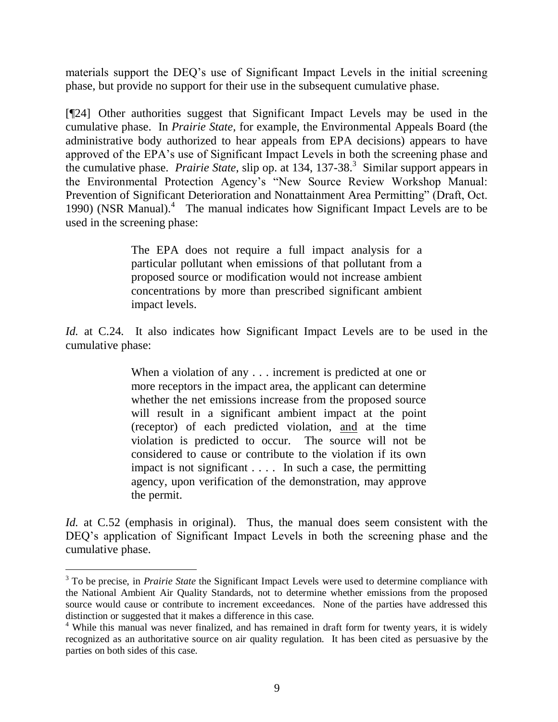materials support the DEQ"s use of Significant Impact Levels in the initial screening phase, but provide no support for their use in the subsequent cumulative phase.

[¶24] Other authorities suggest that Significant Impact Levels may be used in the cumulative phase. In *Prairie State*, for example, the Environmental Appeals Board (the administrative body authorized to hear appeals from EPA decisions) appears to have approved of the EPA"s use of Significant Impact Levels in both the screening phase and the cumulative phase. *Prairie State*, slip op. at 134, 137-38.<sup>3</sup> Similar support appears in the Environmental Protection Agency"s "New Source Review Workshop Manual: Prevention of Significant Deterioration and Nonattainment Area Permitting" (Draft, Oct. 1990) (NSR Manual). 4 The manual indicates how Significant Impact Levels are to be used in the screening phase:

> The EPA does not require a full impact analysis for a particular pollutant when emissions of that pollutant from a proposed source or modification would not increase ambient concentrations by more than prescribed significant ambient impact levels.

*Id.* at C.24. It also indicates how Significant Impact Levels are to be used in the cumulative phase:

> When a violation of any . . . increment is predicted at one or more receptors in the impact area, the applicant can determine whether the net emissions increase from the proposed source will result in a significant ambient impact at the point (receptor) of each predicted violation, and at the time violation is predicted to occur. The source will not be considered to cause or contribute to the violation if its own impact is not significant . . . . In such a case, the permitting agency, upon verification of the demonstration, may approve the permit.

*Id.* at C.52 (emphasis in original). Thus, the manual does seem consistent with the DEQ's application of Significant Impact Levels in both the screening phase and the cumulative phase.

 $\overline{a}$ 

<sup>&</sup>lt;sup>3</sup> To be precise, in *Prairie State* the Significant Impact Levels were used to determine compliance with the National Ambient Air Quality Standards, not to determine whether emissions from the proposed source would cause or contribute to increment exceedances. None of the parties have addressed this distinction or suggested that it makes a difference in this case.

 $4$  While this manual was never finalized, and has remained in draft form for twenty years, it is widely recognized as an authoritative source on air quality regulation. It has been cited as persuasive by the parties on both sides of this case.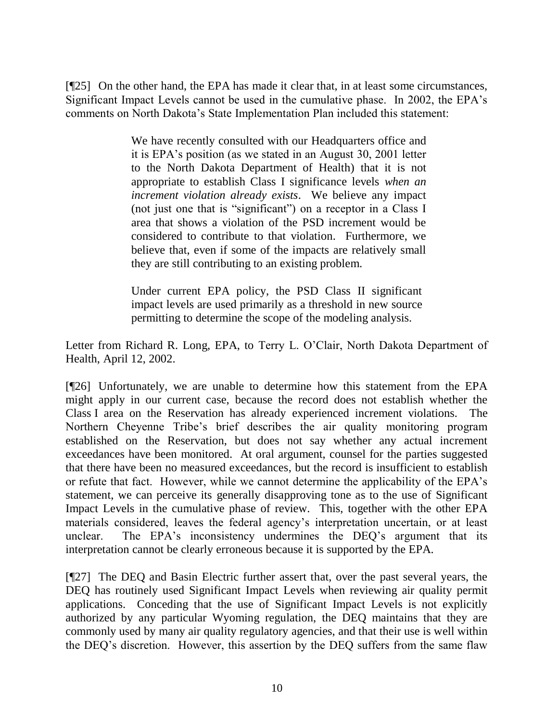[¶25] On the other hand, the EPA has made it clear that, in at least some circumstances, Significant Impact Levels cannot be used in the cumulative phase. In 2002, the EPA"s comments on North Dakota"s State Implementation Plan included this statement:

> We have recently consulted with our Headquarters office and it is EPA"s position (as we stated in an August 30, 2001 letter to the North Dakota Department of Health) that it is not appropriate to establish Class I significance levels *when an increment violation already exists*. We believe any impact (not just one that is "significant") on a receptor in a Class I area that shows a violation of the PSD increment would be considered to contribute to that violation. Furthermore, we believe that, even if some of the impacts are relatively small they are still contributing to an existing problem.

Under current EPA policy, the PSD Class II significant impact levels are used primarily as a threshold in new source permitting to determine the scope of the modeling analysis.

Letter from Richard R. Long, EPA, to Terry L. O"Clair, North Dakota Department of Health, April 12, 2002.

[¶26] Unfortunately, we are unable to determine how this statement from the EPA might apply in our current case, because the record does not establish whether the Class I area on the Reservation has already experienced increment violations. The Northern Cheyenne Tribe's brief describes the air quality monitoring program established on the Reservation, but does not say whether any actual increment exceedances have been monitored. At oral argument, counsel for the parties suggested that there have been no measured exceedances, but the record is insufficient to establish or refute that fact. However, while we cannot determine the applicability of the EPA"s statement, we can perceive its generally disapproving tone as to the use of Significant Impact Levels in the cumulative phase of review. This, together with the other EPA materials considered, leaves the federal agency"s interpretation uncertain, or at least unclear. The EPA's inconsistency undermines the DEQ's argument that its interpretation cannot be clearly erroneous because it is supported by the EPA.

[¶27] The DEQ and Basin Electric further assert that, over the past several years, the DEQ has routinely used Significant Impact Levels when reviewing air quality permit applications. Conceding that the use of Significant Impact Levels is not explicitly authorized by any particular Wyoming regulation, the DEQ maintains that they are commonly used by many air quality regulatory agencies, and that their use is well within the DEQ"s discretion. However, this assertion by the DEQ suffers from the same flaw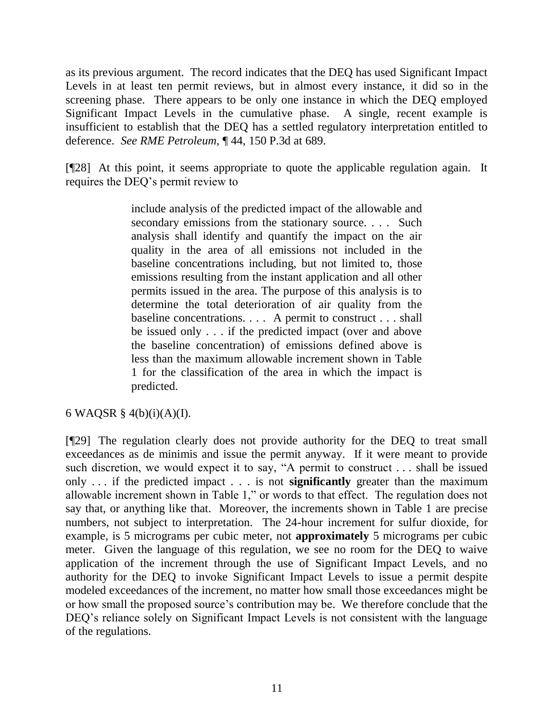as its previous argument. The record indicates that the DEQ has used Significant Impact Levels in at least ten permit reviews, but in almost every instance, it did so in the screening phase. There appears to be only one instance in which the DEQ employed Significant Impact Levels in the cumulative phase. A single, recent example is insufficient to establish that the DEQ has a settled regulatory interpretation entitled to deference. *See RME Petroleum*, ¶ 44, 150 P.3d at 689.

[¶28] At this point, it seems appropriate to quote the applicable regulation again. It requires the DEQ"s permit review to

> include analysis of the predicted impact of the allowable and secondary emissions from the stationary source. . . . Such analysis shall identify and quantify the impact on the air quality in the area of all emissions not included in the baseline concentrations including, but not limited to, those emissions resulting from the instant application and all other permits issued in the area. The purpose of this analysis is to determine the total deterioration of air quality from the baseline concentrations. . . . A permit to construct . . . shall be issued only . . . if the predicted impact (over and above the baseline concentration) of emissions defined above is less than the maximum allowable increment shown in Table 1 for the classification of the area in which the impact is predicted.

# 6 WAQSR § 4(b)(i)(A)(I).

[¶29] The regulation clearly does not provide authority for the DEQ to treat small exceedances as de minimis and issue the permit anyway. If it were meant to provide such discretion, we would expect it to say, "A permit to construct . . . shall be issued only . . . if the predicted impact . . . is not **significantly** greater than the maximum allowable increment shown in Table 1," or words to that effect. The regulation does not say that, or anything like that. Moreover, the increments shown in Table 1 are precise numbers, not subject to interpretation. The 24-hour increment for sulfur dioxide, for example, is 5 micrograms per cubic meter, not **approximately** 5 micrograms per cubic meter. Given the language of this regulation, we see no room for the DEQ to waive application of the increment through the use of Significant Impact Levels, and no authority for the DEQ to invoke Significant Impact Levels to issue a permit despite modeled exceedances of the increment, no matter how small those exceedances might be or how small the proposed source"s contribution may be. We therefore conclude that the DEQ's reliance solely on Significant Impact Levels is not consistent with the language of the regulations.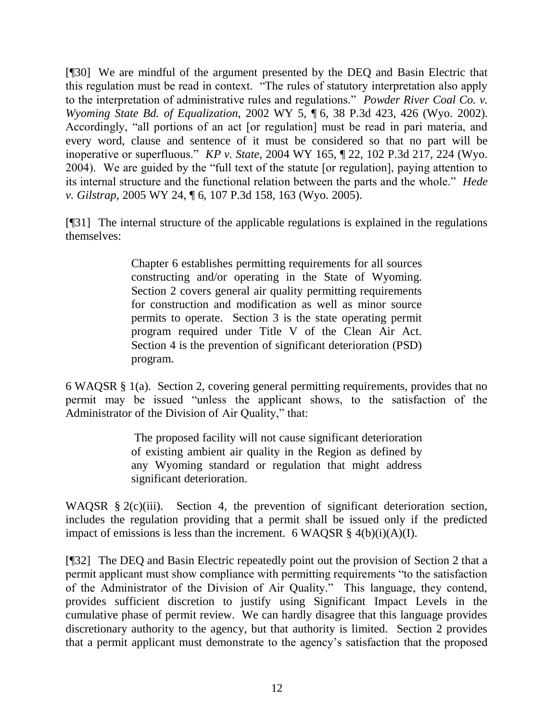[¶30] We are mindful of the argument presented by the DEQ and Basin Electric that this regulation must be read in context. "The rules of statutory interpretation also apply to the interpretation of administrative rules and regulations." *Powder River Coal Co. v. Wyoming State Bd. of Equalization*, 2002 WY 5, ¶ 6, 38 P.3d 423, 426 (Wyo. 2002). Accordingly, "all portions of an act [or regulation] must be read in pari materia, and every word, clause and sentence of it must be considered so that no part will be inoperative or superfluous." *KP v. State*, 2004 WY 165, ¶ 22, 102 P.3d 217, 224 (Wyo. 2004). We are guided by the "full text of the statute [or regulation], paying attention to its internal structure and the functional relation between the parts and the whole." *Hede v. Gilstrap,* 2005 WY 24, ¶ 6, 107 P.3d 158, 163 (Wyo. 2005).

[¶31] The internal structure of the applicable regulations is explained in the regulations themselves:

> Chapter 6 establishes permitting requirements for all sources constructing and/or operating in the State of Wyoming. Section 2 covers general air quality permitting requirements for construction and modification as well as minor source permits to operate. Section 3 is the state operating permit program required under Title V of the Clean Air Act. Section 4 is the prevention of significant deterioration (PSD) program.

6 WAQSR § 1(a). Section 2, covering general permitting requirements, provides that no permit may be issued "unless the applicant shows, to the satisfaction of the Administrator of the Division of Air Quality," that:

> The proposed facility will not cause significant deterioration of existing ambient air quality in the Region as defined by any Wyoming standard or regulation that might address significant deterioration.

WAQSR § 2(c)(iii). Section 4, the prevention of significant deterioration section, includes the regulation providing that a permit shall be issued only if the predicted impact of emissions is less than the increment. 6 WAQSR  $\S$  4(b)(i)(A)(I).

[¶32] The DEQ and Basin Electric repeatedly point out the provision of Section 2 that a permit applicant must show compliance with permitting requirements "to the satisfaction of the Administrator of the Division of Air Quality." This language, they contend, provides sufficient discretion to justify using Significant Impact Levels in the cumulative phase of permit review. We can hardly disagree that this language provides discretionary authority to the agency, but that authority is limited. Section 2 provides that a permit applicant must demonstrate to the agency"s satisfaction that the proposed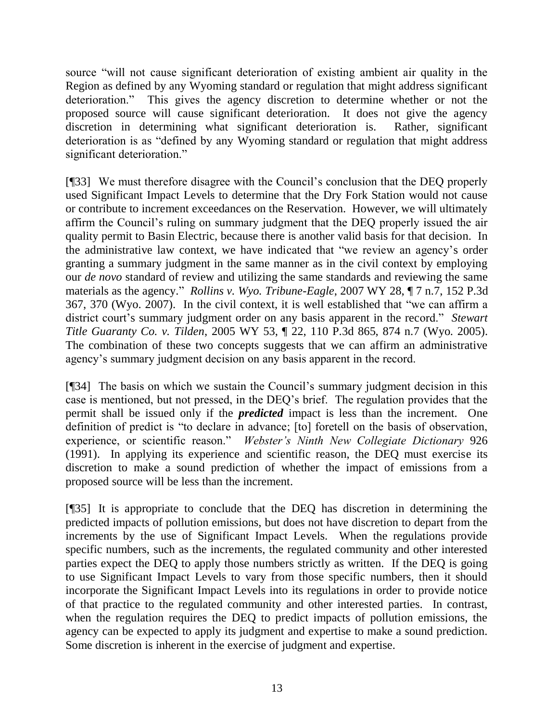source "will not cause significant deterioration of existing ambient air quality in the Region as defined by any Wyoming standard or regulation that might address significant deterioration." This gives the agency discretion to determine whether or not the proposed source will cause significant deterioration. It does not give the agency discretion in determining what significant deterioration is. Rather, significant deterioration is as "defined by any Wyoming standard or regulation that might address significant deterioration."

[¶33] We must therefore disagree with the Council"s conclusion that the DEQ properly used Significant Impact Levels to determine that the Dry Fork Station would not cause or contribute to increment exceedances on the Reservation. However, we will ultimately affirm the Council"s ruling on summary judgment that the DEQ properly issued the air quality permit to Basin Electric, because there is another valid basis for that decision. In the administrative law context, we have indicated that "we review an agency"s order granting a summary judgment in the same manner as in the civil context by employing our *de novo* standard of review and utilizing the same standards and reviewing the same materials as the agency." *Rollins v. Wyo. Tribune-Eagle*, 2007 WY 28, ¶ 7 n.7, 152 P.3d 367, 370 (Wyo. 2007). In the civil context, it is well established that "we can affirm a district court's summary judgment order on any basis apparent in the record." *Stewart Title Guaranty Co. v. Tilden*, 2005 WY 53, ¶ 22, 110 P.3d 865, 874 n.7 (Wyo. 2005). The combination of these two concepts suggests that we can affirm an administrative agency"s summary judgment decision on any basis apparent in the record.

[¶34] The basis on which we sustain the Council"s summary judgment decision in this case is mentioned, but not pressed, in the DEQ"s brief. The regulation provides that the permit shall be issued only if the *predicted* impact is less than the increment. One definition of predict is "to declare in advance; [to] foretell on the basis of observation, experience, or scientific reason." *Webster's Ninth New Collegiate Dictionary* 926 (1991). In applying its experience and scientific reason, the DEQ must exercise its discretion to make a sound prediction of whether the impact of emissions from a proposed source will be less than the increment.

[¶35] It is appropriate to conclude that the DEQ has discretion in determining the predicted impacts of pollution emissions, but does not have discretion to depart from the increments by the use of Significant Impact Levels. When the regulations provide specific numbers, such as the increments, the regulated community and other interested parties expect the DEQ to apply those numbers strictly as written. If the DEQ is going to use Significant Impact Levels to vary from those specific numbers, then it should incorporate the Significant Impact Levels into its regulations in order to provide notice of that practice to the regulated community and other interested parties. In contrast, when the regulation requires the DEQ to predict impacts of pollution emissions, the agency can be expected to apply its judgment and expertise to make a sound prediction. Some discretion is inherent in the exercise of judgment and expertise.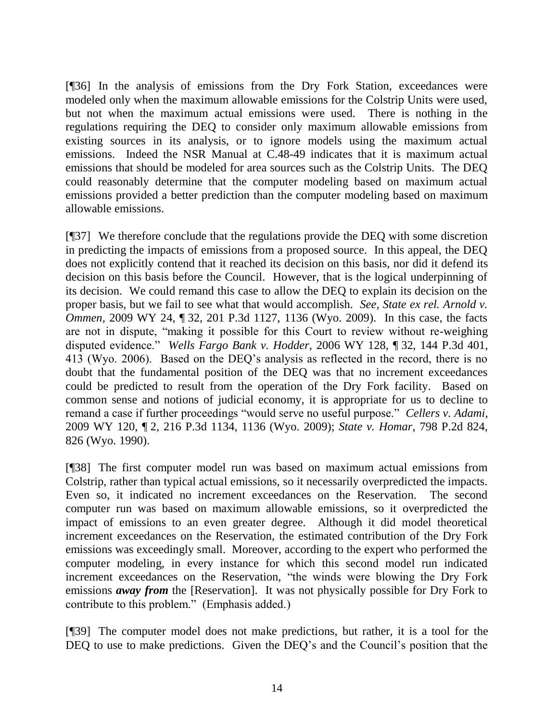[¶36] In the analysis of emissions from the Dry Fork Station, exceedances were modeled only when the maximum allowable emissions for the Colstrip Units were used, but not when the maximum actual emissions were used. There is nothing in the regulations requiring the DEQ to consider only maximum allowable emissions from existing sources in its analysis, or to ignore models using the maximum actual emissions. Indeed the NSR Manual at C.48-49 indicates that it is maximum actual emissions that should be modeled for area sources such as the Colstrip Units. The DEQ could reasonably determine that the computer modeling based on maximum actual emissions provided a better prediction than the computer modeling based on maximum allowable emissions.

[¶37] We therefore conclude that the regulations provide the DEQ with some discretion in predicting the impacts of emissions from a proposed source. In this appeal, the DEQ does not explicitly contend that it reached its decision on this basis, nor did it defend its decision on this basis before the Council. However, that is the logical underpinning of its decision. We could remand this case to allow the DEQ to explain its decision on the proper basis, but we fail to see what that would accomplish. *See, State ex rel. Arnold v. Ommen,* 2009 WY 24, ¶ 32, 201 P.3d 1127, 1136 (Wyo. 2009). In this case, the facts are not in dispute, "making it possible for this Court to review without re-weighing disputed evidence." *Wells Fargo Bank v. Hodder*, 2006 WY 128, ¶ 32, 144 P.3d 401, 413 (Wyo. 2006). Based on the DEQ"s analysis as reflected in the record, there is no doubt that the fundamental position of the DEQ was that no increment exceedances could be predicted to result from the operation of the Dry Fork facility. Based on common sense and notions of judicial economy, it is appropriate for us to decline to remand a case if further proceedings "would serve no useful purpose." *Cellers v. Adami*, 2009 WY 120, ¶ 2, 216 P.3d 1134, 1136 (Wyo. 2009); *State v. Homar*, 798 P.2d 824, 826 (Wyo. 1990).

[¶38] The first computer model run was based on maximum actual emissions from Colstrip, rather than typical actual emissions, so it necessarily overpredicted the impacts. Even so, it indicated no increment exceedances on the Reservation. The second computer run was based on maximum allowable emissions, so it overpredicted the impact of emissions to an even greater degree. Although it did model theoretical increment exceedances on the Reservation, the estimated contribution of the Dry Fork emissions was exceedingly small. Moreover, according to the expert who performed the computer modeling, in every instance for which this second model run indicated increment exceedances on the Reservation, "the winds were blowing the Dry Fork emissions *away from* the [Reservation]. It was not physically possible for Dry Fork to contribute to this problem." (Emphasis added.)

[¶39] The computer model does not make predictions, but rather, it is a tool for the DEQ to use to make predictions. Given the DEQ's and the Council's position that the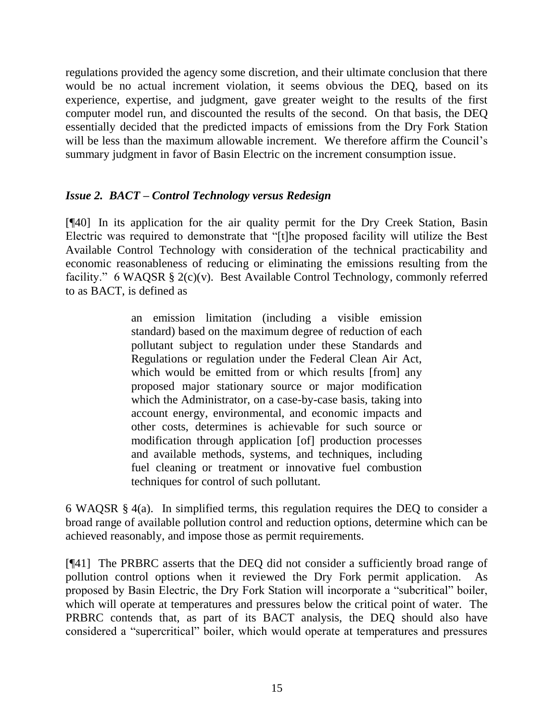regulations provided the agency some discretion, and their ultimate conclusion that there would be no actual increment violation, it seems obvious the DEQ, based on its experience, expertise, and judgment, gave greater weight to the results of the first computer model run, and discounted the results of the second. On that basis, the DEQ essentially decided that the predicted impacts of emissions from the Dry Fork Station will be less than the maximum allowable increment. We therefore affirm the Council's summary judgment in favor of Basin Electric on the increment consumption issue.

# *Issue 2. BACT – Control Technology versus Redesign*

[¶40] In its application for the air quality permit for the Dry Creek Station, Basin Electric was required to demonstrate that "[t]he proposed facility will utilize the Best Available Control Technology with consideration of the technical practicability and economic reasonableness of reducing or eliminating the emissions resulting from the facility." 6 WAQSR § 2(c)(v). Best Available Control Technology, commonly referred to as BACT, is defined as

> an emission limitation (including a visible emission standard) based on the maximum degree of reduction of each pollutant subject to regulation under these Standards and Regulations or regulation under the Federal Clean Air Act, which would be emitted from or which results [from] any proposed major stationary source or major modification which the Administrator, on a case-by-case basis, taking into account energy, environmental, and economic impacts and other costs, determines is achievable for such source or modification through application [of] production processes and available methods, systems, and techniques, including fuel cleaning or treatment or innovative fuel combustion techniques for control of such pollutant.

6 WAQSR § 4(a). In simplified terms, this regulation requires the DEQ to consider a broad range of available pollution control and reduction options, determine which can be achieved reasonably, and impose those as permit requirements.

[¶41] The PRBRC asserts that the DEQ did not consider a sufficiently broad range of pollution control options when it reviewed the Dry Fork permit application. As proposed by Basin Electric, the Dry Fork Station will incorporate a "subcritical" boiler, which will operate at temperatures and pressures below the critical point of water. The PRBRC contends that, as part of its BACT analysis, the DEQ should also have considered a "supercritical" boiler, which would operate at temperatures and pressures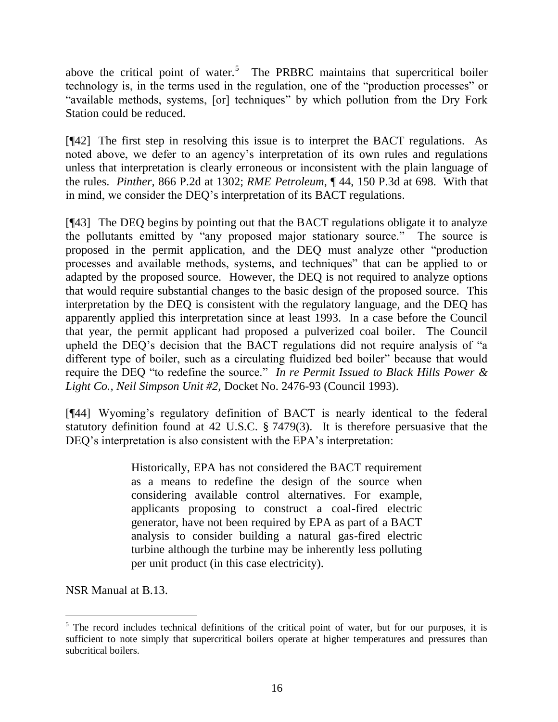above the critical point of water.<sup>5</sup> The PRBRC maintains that supercritical boiler technology is, in the terms used in the regulation, one of the "production processes" or "available methods, systems, [or] techniques" by which pollution from the Dry Fork Station could be reduced.

[¶42] The first step in resolving this issue is to interpret the BACT regulations. As noted above, we defer to an agency"s interpretation of its own rules and regulations unless that interpretation is clearly erroneous or inconsistent with the plain language of the rules. *Pinther,* 866 P.2d at 1302; *RME Petroleum*, ¶ 44, 150 P.3d at 698. With that in mind, we consider the DEQ"s interpretation of its BACT regulations.

[¶43] The DEQ begins by pointing out that the BACT regulations obligate it to analyze the pollutants emitted by "any proposed major stationary source." The source is proposed in the permit application, and the DEQ must analyze other "production processes and available methods, systems, and techniques" that can be applied to or adapted by the proposed source. However, the DEQ is not required to analyze options that would require substantial changes to the basic design of the proposed source. This interpretation by the DEQ is consistent with the regulatory language, and the DEQ has apparently applied this interpretation since at least 1993. In a case before the Council that year, the permit applicant had proposed a pulverized coal boiler. The Council upheld the DEQ"s decision that the BACT regulations did not require analysis of "a different type of boiler, such as a circulating fluidized bed boiler" because that would require the DEQ "to redefine the source." *In re Permit Issued to Black Hills Power & Light Co., Neil Simpson Unit #2*, Docket No. 2476-93 (Council 1993).

[¶44] Wyoming's regulatory definition of BACT is nearly identical to the federal statutory definition found at 42 U.S.C. § 7479(3). It is therefore persuasive that the DEQ's interpretation is also consistent with the EPA's interpretation:

> Historically, EPA has not considered the BACT requirement as a means to redefine the design of the source when considering available control alternatives. For example, applicants proposing to construct a coal-fired electric generator, have not been required by EPA as part of a BACT analysis to consider building a natural gas-fired electric turbine although the turbine may be inherently less polluting per unit product (in this case electricity).

NSR Manual at B.13.

 $\overline{a}$  $5$  The record includes technical definitions of the critical point of water, but for our purposes, it is sufficient to note simply that supercritical boilers operate at higher temperatures and pressures than subcritical boilers.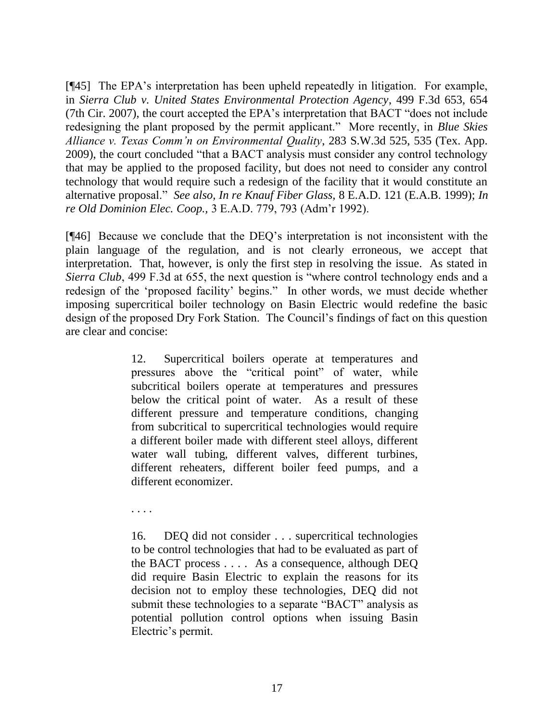[¶45] The EPA"s interpretation has been upheld repeatedly in litigation. For example, in *Sierra Club v. United States Environmental Protection Agency*, 499 F.3d 653, 654 (7th Cir. 2007), the court accepted the EPA"s interpretation that BACT "does not include redesigning the plant proposed by the permit applicant." More recently, in *Blue Skies Alliance v. Texas Comm'n on Environmental Quality*, 283 S.W.3d 525, 535 (Tex. App. 2009), the court concluded "that a BACT analysis must consider any control technology that may be applied to the proposed facility, but does not need to consider any control technology that would require such a redesign of the facility that it would constitute an alternative proposal." *See also, In re Knauf Fiber Glass,* 8 E.A.D. 121 (E.A.B. 1999); *In re Old Dominion Elec. Coop.,* 3 E.A.D. 779, 793 (Adm"r 1992).

[¶46] Because we conclude that the DEQ"s interpretation is not inconsistent with the plain language of the regulation, and is not clearly erroneous, we accept that interpretation. That, however, is only the first step in resolving the issue. As stated in *Sierra Club*, 499 F.3d at 655, the next question is "where control technology ends and a redesign of the "proposed facility" begins." In other words, we must decide whether imposing supercritical boiler technology on Basin Electric would redefine the basic design of the proposed Dry Fork Station. The Council's findings of fact on this question are clear and concise:

> 12. Supercritical boilers operate at temperatures and pressures above the "critical point" of water, while subcritical boilers operate at temperatures and pressures below the critical point of water. As a result of these different pressure and temperature conditions, changing from subcritical to supercritical technologies would require a different boiler made with different steel alloys, different water wall tubing, different valves, different turbines, different reheaters, different boiler feed pumps, and a different economizer.

. . . .

16. DEQ did not consider . . . supercritical technologies to be control technologies that had to be evaluated as part of the BACT process . . . . As a consequence, although DEQ did require Basin Electric to explain the reasons for its decision not to employ these technologies, DEQ did not submit these technologies to a separate "BACT" analysis as potential pollution control options when issuing Basin Electric's permit.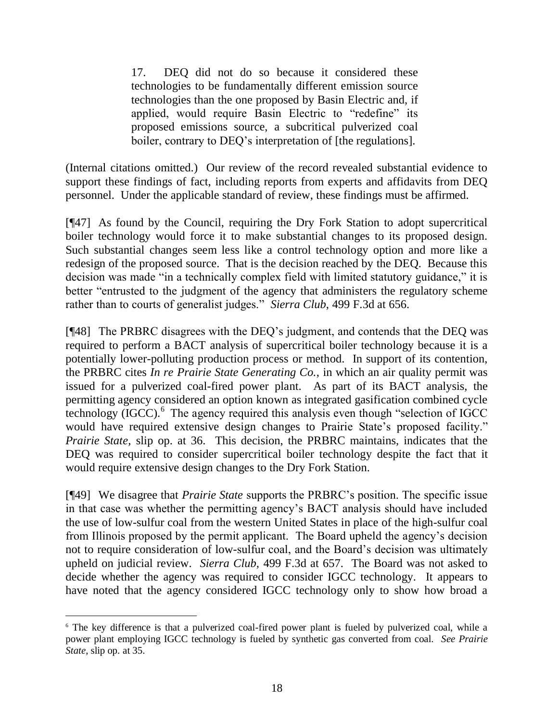17. DEQ did not do so because it considered these technologies to be fundamentally different emission source technologies than the one proposed by Basin Electric and, if applied, would require Basin Electric to "redefine" its proposed emissions source, a subcritical pulverized coal boiler, contrary to DEO's interpretation of [the regulations].

(Internal citations omitted.) Our review of the record revealed substantial evidence to support these findings of fact, including reports from experts and affidavits from DEQ personnel. Under the applicable standard of review, these findings must be affirmed.

[¶47] As found by the Council, requiring the Dry Fork Station to adopt supercritical boiler technology would force it to make substantial changes to its proposed design. Such substantial changes seem less like a control technology option and more like a redesign of the proposed source. That is the decision reached by the DEQ. Because this decision was made "in a technically complex field with limited statutory guidance," it is better "entrusted to the judgment of the agency that administers the regulatory scheme rather than to courts of generalist judges." *Sierra Club*, 499 F.3d at 656.

[¶48] The PRBRC disagrees with the DEQ"s judgment, and contends that the DEQ was required to perform a BACT analysis of supercritical boiler technology because it is a potentially lower-polluting production process or method. In support of its contention, the PRBRC cites *In re Prairie State Generating Co.*, in which an air quality permit was issued for a pulverized coal-fired power plant. As part of its BACT analysis, the permitting agency considered an option known as integrated gasification combined cycle  $\text{technology}$  (IGCC). $\text{6}$  The agency required this analysis even though "selection of IGCC would have required extensive design changes to Prairie State's proposed facility." *Prairie State,* slip op. at 36. This decision, the PRBRC maintains, indicates that the DEQ was required to consider supercritical boiler technology despite the fact that it would require extensive design changes to the Dry Fork Station.

[¶49] We disagree that *Prairie State* supports the PRBRC"s position. The specific issue in that case was whether the permitting agency"s BACT analysis should have included the use of low-sulfur coal from the western United States in place of the high-sulfur coal from Illinois proposed by the permit applicant. The Board upheld the agency"s decision not to require consideration of low-sulfur coal, and the Board"s decision was ultimately upheld on judicial review. *Sierra Club,* 499 F.3d at 657. The Board was not asked to decide whether the agency was required to consider IGCC technology. It appears to have noted that the agency considered IGCC technology only to show how broad a

 $\overline{a}$ 

<sup>6</sup> The key difference is that a pulverized coal-fired power plant is fueled by pulverized coal, while a power plant employing IGCC technology is fueled by synthetic gas converted from coal. *See Prairie State*, slip op. at 35.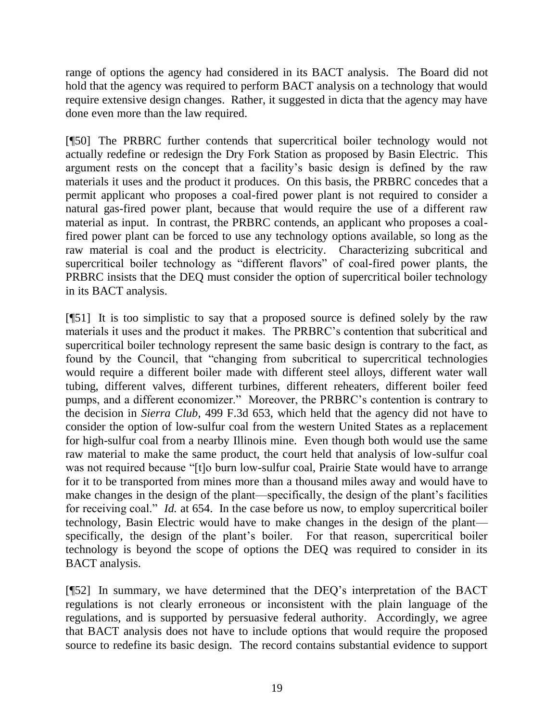range of options the agency had considered in its BACT analysis. The Board did not hold that the agency was required to perform BACT analysis on a technology that would require extensive design changes. Rather, it suggested in dicta that the agency may have done even more than the law required.

[¶50] The PRBRC further contends that supercritical boiler technology would not actually redefine or redesign the Dry Fork Station as proposed by Basin Electric. This argument rests on the concept that a facility"s basic design is defined by the raw materials it uses and the product it produces. On this basis, the PRBRC concedes that a permit applicant who proposes a coal-fired power plant is not required to consider a natural gas-fired power plant, because that would require the use of a different raw material as input. In contrast, the PRBRC contends, an applicant who proposes a coalfired power plant can be forced to use any technology options available, so long as the raw material is coal and the product is electricity. Characterizing subcritical and supercritical boiler technology as "different flavors" of coal-fired power plants, the PRBRC insists that the DEQ must consider the option of supercritical boiler technology in its BACT analysis.

[¶51] It is too simplistic to say that a proposed source is defined solely by the raw materials it uses and the product it makes. The PRBRC"s contention that subcritical and supercritical boiler technology represent the same basic design is contrary to the fact, as found by the Council, that "changing from subcritical to supercritical technologies would require a different boiler made with different steel alloys, different water wall tubing, different valves, different turbines, different reheaters, different boiler feed pumps, and a different economizer." Moreover, the PRBRC"s contention is contrary to the decision in *Sierra Club*, 499 F.3d 653, which held that the agency did not have to consider the option of low-sulfur coal from the western United States as a replacement for high-sulfur coal from a nearby Illinois mine. Even though both would use the same raw material to make the same product, the court held that analysis of low-sulfur coal was not required because "[t]o burn low-sulfur coal, Prairie State would have to arrange for it to be transported from mines more than a thousand miles away and would have to make changes in the design of the plant—specifically, the design of the plant's facilities for receiving coal." *Id.* at 654. In the case before us now, to employ supercritical boiler technology, Basin Electric would have to make changes in the design of the plant specifically, the design of the plant's boiler. For that reason, supercritical boiler technology is beyond the scope of options the DEQ was required to consider in its BACT analysis.

[¶52] In summary, we have determined that the DEQ"s interpretation of the BACT regulations is not clearly erroneous or inconsistent with the plain language of the regulations, and is supported by persuasive federal authority. Accordingly, we agree that BACT analysis does not have to include options that would require the proposed source to redefine its basic design. The record contains substantial evidence to support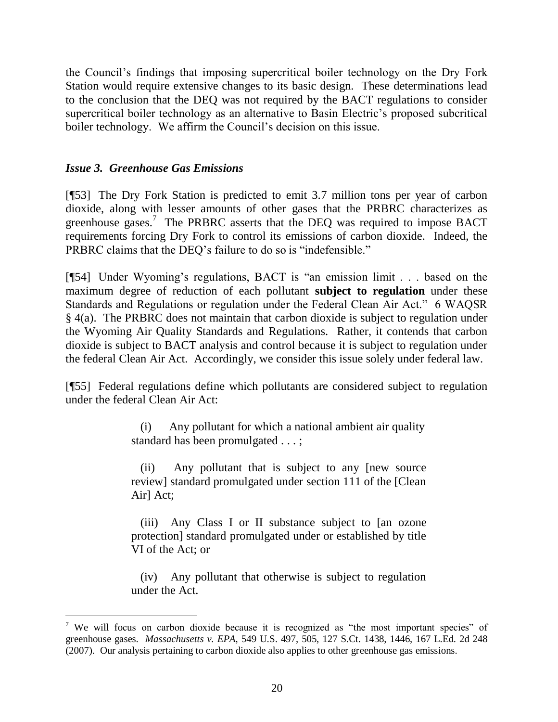the Council"s findings that imposing supercritical boiler technology on the Dry Fork Station would require extensive changes to its basic design. These determinations lead to the conclusion that the DEQ was not required by the BACT regulations to consider supercritical boiler technology as an alternative to Basin Electric's proposed subcritical boiler technology. We affirm the Council's decision on this issue.

# *Issue 3. Greenhouse Gas Emissions*

 $\overline{a}$ 

[¶53] The Dry Fork Station is predicted to emit 3.7 million tons per year of carbon dioxide, along with lesser amounts of other gases that the PRBRC characterizes as greenhouse gases.<sup>7</sup> The PRBRC asserts that the DEQ was required to impose BACT requirements forcing Dry Fork to control its emissions of carbon dioxide. Indeed, the PRBRC claims that the DEQ"s failure to do so is "indefensible."

[¶54] Under Wyoming"s regulations, BACT is "an emission limit . . . based on the maximum degree of reduction of each pollutant **subject to regulation** under these Standards and Regulations or regulation under the Federal Clean Air Act." 6 WAQSR § 4(a). The PRBRC does not maintain that carbon dioxide is subject to regulation under the Wyoming Air Quality Standards and Regulations. Rather, it contends that carbon dioxide is subject to BACT analysis and control because it is subject to regulation under the federal Clean Air Act. Accordingly, we consider this issue solely under federal law.

[¶55] Federal regulations define which pollutants are considered subject to regulation under the federal Clean Air Act:

> (i) Any pollutant for which a national ambient air quality standard has been promulgated . . . ;

> (ii) Any pollutant that is subject to any [new source review] standard promulgated under section 111 of the [Clean Air] Act;

> (iii) Any Class I or II substance subject to [an ozone protection] standard promulgated under or established by title VI of the Act; or

> (iv) Any pollutant that otherwise is subject to regulation under the Act.

<sup>&</sup>lt;sup>7</sup> We will focus on carbon dioxide because it is recognized as "the most important species" of greenhouse gases. *Massachusetts v. EPA*, 549 U.S. 497, 505, 127 S.Ct. 1438, 1446, 167 L.Ed. 2d 248 (2007). Our analysis pertaining to carbon dioxide also applies to other greenhouse gas emissions.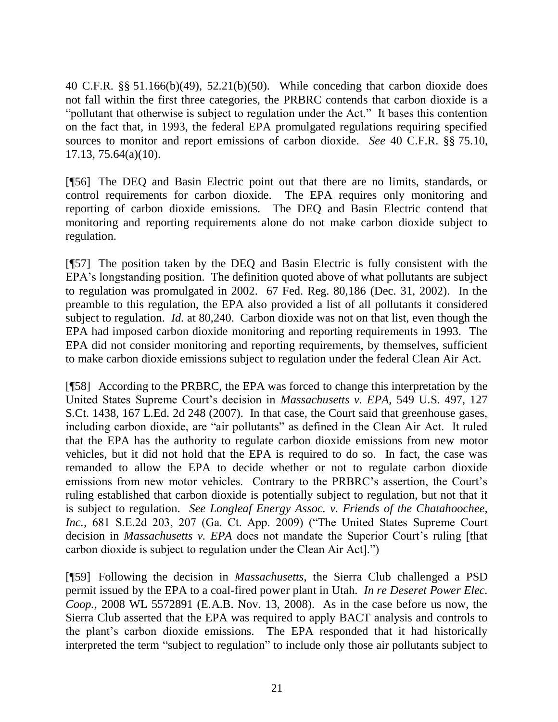40 C.F.R. §§ 51.166(b)(49), 52.21(b)(50). While conceding that carbon dioxide does not fall within the first three categories, the PRBRC contends that carbon dioxide is a "pollutant that otherwise is subject to regulation under the Act." It bases this contention on the fact that, in 1993, the federal EPA promulgated regulations requiring specified sources to monitor and report emissions of carbon dioxide. *See* 40 C.F.R. §§ 75.10, 17.13, 75.64(a)(10).

[¶56] The DEQ and Basin Electric point out that there are no limits, standards, or control requirements for carbon dioxide. The EPA requires only monitoring and reporting of carbon dioxide emissions. The DEQ and Basin Electric contend that monitoring and reporting requirements alone do not make carbon dioxide subject to regulation.

[¶57] The position taken by the DEQ and Basin Electric is fully consistent with the EPA"s longstanding position. The definition quoted above of what pollutants are subject to regulation was promulgated in 2002. 67 Fed. Reg. 80,186 (Dec. 31, 2002). In the preamble to this regulation, the EPA also provided a list of all pollutants it considered subject to regulation. *Id.* at 80,240. Carbon dioxide was not on that list, even though the EPA had imposed carbon dioxide monitoring and reporting requirements in 1993. The EPA did not consider monitoring and reporting requirements, by themselves, sufficient to make carbon dioxide emissions subject to regulation under the federal Clean Air Act.

[¶58] According to the PRBRC, the EPA was forced to change this interpretation by the United States Supreme Court"s decision in *Massachusetts v. EPA,* 549 U.S. 497, 127 S.Ct. 1438, 167 L.Ed. 2d 248 (2007). In that case, the Court said that greenhouse gases, including carbon dioxide, are "air pollutants" as defined in the Clean Air Act. It ruled that the EPA has the authority to regulate carbon dioxide emissions from new motor vehicles, but it did not hold that the EPA is required to do so. In fact, the case was remanded to allow the EPA to decide whether or not to regulate carbon dioxide emissions from new motor vehicles. Contrary to the PRBRC's assertion, the Court's ruling established that carbon dioxide is potentially subject to regulation, but not that it is subject to regulation. *See Longleaf Energy Assoc. v. Friends of the Chatahoochee, Inc.,* 681 S.E.2d 203, 207 (Ga. Ct. App. 2009) ("The United States Supreme Court decision in *Massachusetts v. EPA* does not mandate the Superior Court's ruling [that carbon dioxide is subject to regulation under the Clean Air Act].")

[¶59] Following the decision in *Massachusetts*, the Sierra Club challenged a PSD permit issued by the EPA to a coal-fired power plant in Utah. *In re Deseret Power Elec. Coop.,* 2008 WL 5572891 (E.A.B. Nov. 13, 2008). As in the case before us now, the Sierra Club asserted that the EPA was required to apply BACT analysis and controls to the plant"s carbon dioxide emissions. The EPA responded that it had historically interpreted the term "subject to regulation" to include only those air pollutants subject to